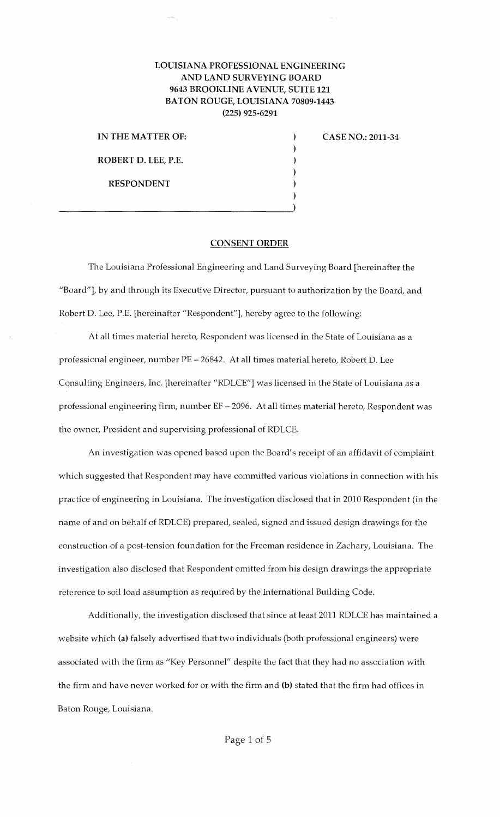## LOUISIANA PROFESSIONAL ENGINEERING AND LAND SURVEYING BOARD 9643 BROOKLINE A VENUE, SUITE 121 BATON ROUGE, LOUISIANA 70809-1443 (225) 925-6291

) ) ) ) ) )

IN THE MATTER OF: ROBERT D. LEE, P.E. RESPONDENT

 $\overline{\phantom{a}}$  , and the contract of the contract of  $\overline{\phantom{a}}$  )

CASE NO.: 2011-34

## CONSENT ORDER

The Louisiana Professional Engineering and Land Surveying Board [hereinafter the "Board"], by and through its Executive Director, pursuant to authorization by the Board, and Robert D. Lee, P.E. [hereinafter "Respondent"], hereby agree to the following:

At all times material hereto, Respondent was licensed in the State of Louisiana as a professional engineer, number PE- 26842. At all times material hereto, Robert D. Lee Consulting Engineers, Inc. [hereinafter "RDLCE"] was licensed in the State of Louisiana as a professional engineering firm, number EF - 2096. At all times material hereto, Respondent was the owner, President and supervising professional of RDLCE.

An investigation was opened based upon the Board's receipt of an affidavit of complaint which suggested that Respondent may have committed various violations in connection with his practice of engineering in Louisiana. The investigation disclosed that in 2010 Respondent (in the name of and on behalf of RDLCE) prepared, sealed, signed and issued design drawings for the construction of a post-tension foundation for the Freeman residence in Zachary, Louisiana. The investigation also disclosed that Respondent omitted from his design drawings the appropriate reference to soil load assumption as required by the International Building Code.

Additionally, the investigation disclosed that since at least 2011 RDLCE has maintained a website which (a) falsely advertised that two individuals (both professional engineers) were associated with the firm as "Key Personnel" despite the fact that they had no association with the firm and have never worked for or with the firm and (b) stated that the firm had offices in Baton Rouge, Louisiana.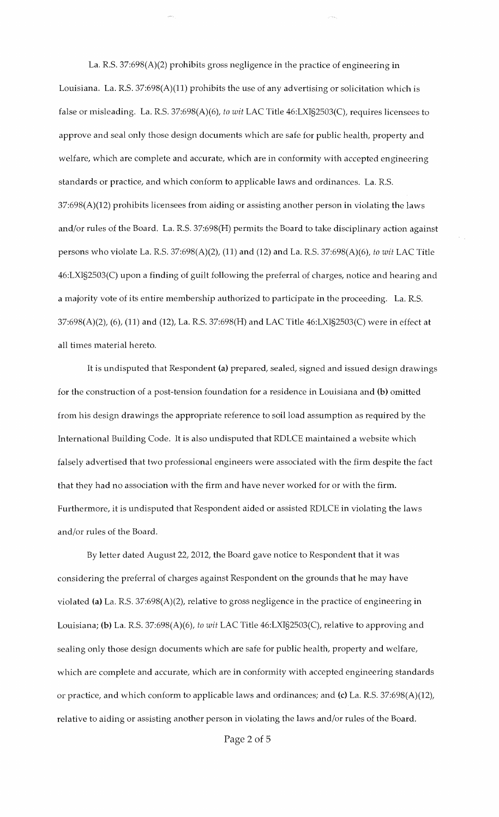La. R.S. 37:698(A)(2) prohibits gross negligence in the practice of engineering in Louisiana. La. R.S. 37:698(A)(11) prohibits the use of any advertising or solicitation which is false or misleading. La. R.S. 37:698(A)(6), *to wit* LAC Title 46:LXI§2503(C), requires licensees to approve and seal only those design documents which are safe for public health, property and welfare, which are complete and accurate, which are in conformity with accepted engineering standards or practice, and which conform to applicable laws and ordinances. La. R.S. 37:698(A)(12) prohibits licensees from aiding or assisting another person in violating the laws and/or rules of the Board. La. R.S. 37:698(H) permits the Board to take disciplinary action against persons who violate La. R.S. 37:698(A)(2), (11) and (12) and La. R.S. 37:698(A)(6), *to wit* LAC Title 46:LXI§2503(C) upon a finding of guilt following the preferral of charges, notice and hearing and a majority vote of its entire membership authorized to participate in the proceeding. La. R.S. 37:698(A)(2), (6), (11) and (12), La. R.S. 37:698(H) and LAC Title 46:LXI§2503(C) were in effect at all times material hereto.

It is undisputed that Respondent (a) prepared, sealed, signed and issued design drawings for the construction of a post-tension foundation for a residence in Louisiana and (b) omitted from his design drawings the appropriate reference to soil load assumption as required by the International Building Code. It is also undisputed that RDLCE maintained a website which falsely advertised that two professional engineers were associated with the firm despite the fact that they had no association with the firm and have never worked for or with the firm. Furthermore, it is undisputed that Respondent aided or assisted RDLCE in violating the laws and/or rules of the Board.

By letter dated August 22, 2012, the Board gave notice to Respondent that it was considering the preferral of charges against Respondent on the grounds that he may have violated (a) La. R.S. 37:698(A)(2), relative to gross negligence in the practice of engineering in Louisiana; (b) La. R.S. 37:698(A)(6), *to wit* LAC Title 46:LXI§2503(C), relative to approving and sealing only those design documents which are safe for public health, property and welfare, which are complete and accurate, which are in conformity with accepted engineering standards or practice, and which conform to applicable laws and ordinances; and (c) La. R.S. 37:698(A)(12), relative to aiding or assisting another person in violating the laws and/or rules of the Board.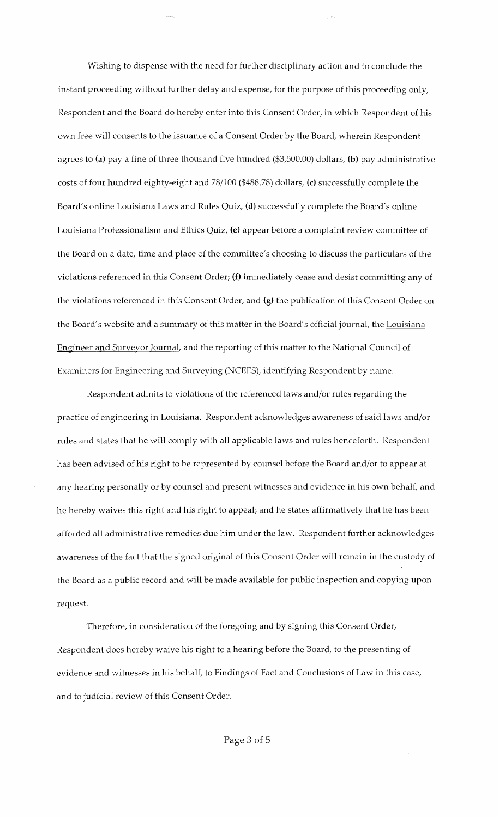Wishing to dispense with the need for further disciplinary action and to conclude the instant proceeding without further delay and expense, for the purpose of this proceeding only, Respondent and the Board do hereby enter into this Consent Order, in which Respondent of his own free will consents to the issuance of a Consent Order by the Board, wherein Respondent agrees to (a) pay a fine of three thousand five hundred (\$3,500.00) dollars, (b) pay administrative costs of four hundred eighty-eight and 78/100 (\$488.78) dollars, (c) successfully complete the Board's online Louisiana Laws and Rules Quiz, (d) successfully complete the Board's online Louisiana Professionalism and Ethics Quiz, (e) appear before a complaint review committee of the Board on a date, time and place of the committee's choosing to discuss the particulars of the violations referenced in this Consent Order; (f) immediately cease and desist committing any of the violations referenced in this Consent Order, and (g) the publication of this Consent Order on the Board's website and a summary of this matter in the Board's official journal, the Louisiana Engineer and Surveyor Journal, and the reporting of this matter to the National Council of Examiners for Engineering and Surveying (NCEES), identifying Respondent by name.

Respondent admits to violations of the referenced laws and/or rules regarding the practice of engineering in Louisiana. Respondent acknowledges awareness of said laws and/or rules and states that he will comply with all applicable laws and rules henceforth. Respondent has been advised of his right to be represented by counsel before the Board and/or to appear at any hearing personally or by counsel and present witnesses and evidence in his own behalf, and he hereby waives this right and his right to appeal; and he states affirmatively that he has been afforded all administrative remedies due him under the law. Respondent further acknowledges awareness of the fact that the signed original of this Consent Order will remain in the custody of the Board as a public record and will be made available for public inspection and copying upon request.

Therefore, in consideration of the foregoing and by signing this Consent Order, Respondent does hereby waive his right to a hearing before the Board, to the presenting of evidence and witnesses in his behalf, to Findings of Fact and Conclusions of Law in this case, and to judicial review of this Consent Order.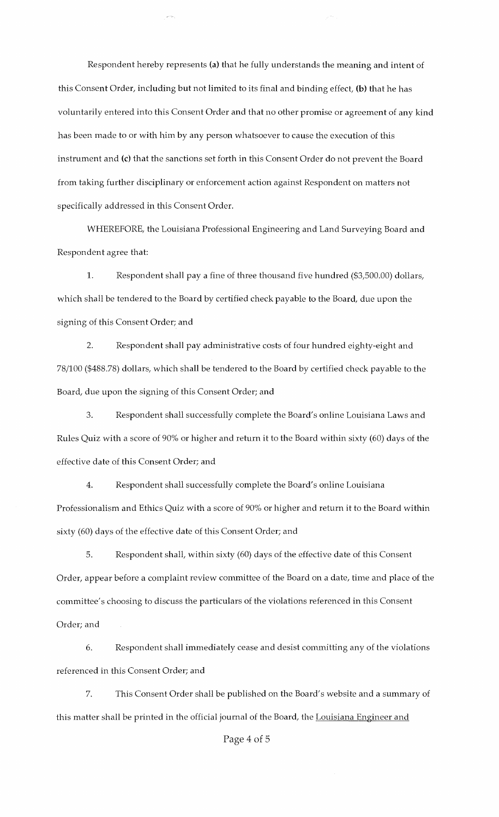Respondent hereby represents (a) that he fully understands the meaning and intent of this Consent Order, including but not limited to its final and binding effect, (b) that he has voluntarily entered into this Consent Order and that no other promise or agreement of any kind has been made to or with him by any person whatsoever to cause the execution of this instrument and (c) that the sanctions set forth in this Consent Order do not prevent the Board from taking further disciplinary or enforcement action against Respondent on matters not specifically addressed in this Consent Order.

 $\mu\bar{\nu}$  in

WHEREFORE, the Louisiana Professional Engineering and Land Surveying Board and Respondent agree that:

1. Respondent shall pay a fine of three thousand five hundred (\$3,500.00) dollars, which shall be tendered to the Board by certified check payable to the Board, due upon the signing of this Consent Order; and

2. Respondent shall pay administrative costs of four hundred eighty-eight and 78/100 (\$488.78) dollars, which shall be tendered to the Board by certified check payable to the Board, due upon the signing of this Consent Order; and

3. Respondent shall successfully complete the Board's online Louisiana Laws and Rules Quiz with a score of 90% or higher and return it to the Board within sixty (60) days of the effective date of this Consent Order; and

4. Respondent shall successfully complete the Board's online Louisiana Professionalism and Ethics Quiz with a score of 90% or higher and return it to the Board within sixty (60) days of the effective date of this Consent Order; and

5. Respondent shall, within sixty (60) days of the effective date of this Consent Order, appear before a complaint review committee of the Board on a date, time and place of the committee's choosing to discuss the particulars of the violations referenced in this Consent Order; and

6. Respondent shall immediately cease and desist committing any of the violations referenced in this Consent Order; and

7. This Consent Order shall be published on the Board's website and a summary of this matter shall be printed in the official journal of the Board, the Louisiana Engineer and

## Page 4 of 5